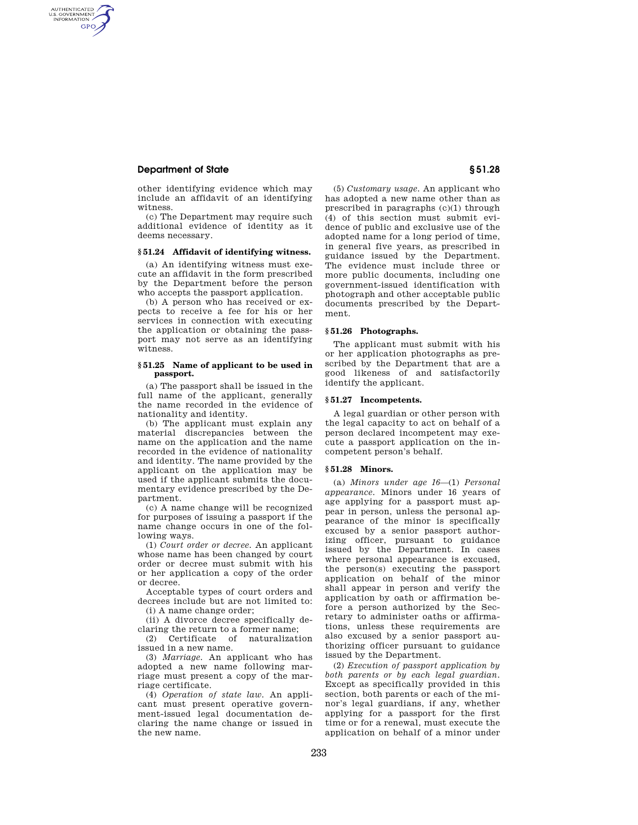# **Department of State § 51.28**

AUTHENTICATED<br>U.S. GOVERNMENT<br>INFORMATION GPO

> other identifying evidence which may include an affidavit of an identifying witness.

> (c) The Department may require such additional evidence of identity as it deems necessary.

### **§ 51.24 Affidavit of identifying witness.**

(a) An identifying witness must execute an affidavit in the form prescribed by the Department before the person who accepts the passport application.

(b) A person who has received or expects to receive a fee for his or her services in connection with executing the application or obtaining the passport may not serve as an identifying witness.

### **§ 51.25 Name of applicant to be used in passport.**

(a) The passport shall be issued in the full name of the applicant, generally the name recorded in the evidence of nationality and identity.

(b) The applicant must explain any material discrepancies between the name on the application and the name recorded in the evidence of nationality and identity. The name provided by the applicant on the application may be used if the applicant submits the documentary evidence prescribed by the Department.

(c) A name change will be recognized for purposes of issuing a passport if the name change occurs in one of the following ways.

(1) *Court order or decree.* An applicant whose name has been changed by court order or decree must submit with his or her application a copy of the order or decree.

Acceptable types of court orders and decrees include but are not limited to: (i) A name change order;

(ii) A divorce decree specifically de-

claring the return to a former name; (2) Certificate of naturalization

issued in a new name. (3) *Marriage.* An applicant who has adopted a new name following marriage must present a copy of the mar-

riage certificate. (4) *Operation of state law.* An applicant must present operative government-issued legal documentation declaring the name change or issued in the new name.

(5) *Customary usage.* An applicant who has adopted a new name other than as prescribed in paragraphs (c)(1) through (4) of this section must submit evidence of public and exclusive use of the adopted name for a long period of time, in general five years, as prescribed in guidance issued by the Department. The evidence must include three or more public documents, including one government-issued identification with photograph and other acceptable public documents prescribed by the Department.

### **§ 51.26 Photographs.**

The applicant must submit with his or her application photographs as prescribed by the Department that are a good likeness of and satisfactorily identify the applicant.

### **§ 51.27 Incompetents.**

A legal guardian or other person with the legal capacity to act on behalf of a person declared incompetent may execute a passport application on the incompetent person's behalf.

#### **§ 51.28 Minors.**

(a) *Minors under age 16*—(1) *Personal appearance.* Minors under 16 years of age applying for a passport must appear in person, unless the personal appearance of the minor is specifically excused by a senior passport authorizing officer, pursuant to guidance issued by the Department. In cases where personal appearance is excused, the person(s) executing the passport application on behalf of the minor shall appear in person and verify the application by oath or affirmation before a person authorized by the Secretary to administer oaths or affirmations, unless these requirements are also excused by a senior passport authorizing officer pursuant to guidance issued by the Department.

(2) *Execution of passport application by both parents or by each legal guardian.*  Except as specifically provided in this section, both parents or each of the minor's legal guardians, if any, whether applying for a passport for the first time or for a renewal, must execute the application on behalf of a minor under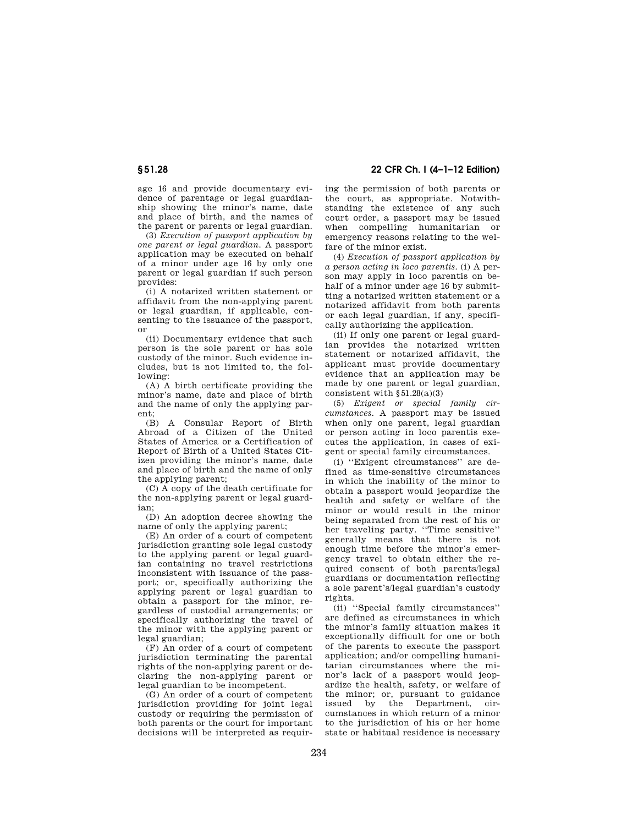age 16 and provide documentary evidence of parentage or legal guardianship showing the minor's name, date and place of birth, and the names of the parent or parents or legal guardian.

(3) *Execution of passport application by one parent or legal guardian.* A passport application may be executed on behalf of a minor under age 16 by only one parent or legal guardian if such person provides:

(i) A notarized written statement or affidavit from the non-applying parent or legal guardian, if applicable, consenting to the issuance of the passport, or

(ii) Documentary evidence that such person is the sole parent or has sole custody of the minor. Such evidence includes, but is not limited to, the following:

(A) A birth certificate providing the minor's name, date and place of birth and the name of only the applying parent;

(B) A Consular Report of Birth Abroad of a Citizen of the United States of America or a Certification of Report of Birth of a United States Citizen providing the minor's name, date and place of birth and the name of only the applying parent;

(C) A copy of the death certificate for the non-applying parent or legal guardian;

(D) An adoption decree showing the name of only the applying parent;

(E) An order of a court of competent jurisdiction granting sole legal custody to the applying parent or legal guardian containing no travel restrictions inconsistent with issuance of the passport; or, specifically authorizing the applying parent or legal guardian to obtain a passport for the minor, regardless of custodial arrangements; or specifically authorizing the travel of the minor with the applying parent or legal guardian;

(F) An order of a court of competent jurisdiction terminating the parental rights of the non-applying parent or declaring the non-applying parent or legal guardian to be incompetent.

(G) An order of a court of competent jurisdiction providing for joint legal custody or requiring the permission of both parents or the court for important decisions will be interpreted as requir-

**§ 51.28 22 CFR Ch. I (4–1–12 Edition)** 

ing the permission of both parents or the court, as appropriate. Notwithstanding the existence of any such court order, a passport may be issued when compelling humanitarian or emergency reasons relating to the welfare of the minor exist.

(4) *Execution of passport application by a person acting in loco parentis.* (i) A person may apply in loco parentis on behalf of a minor under age 16 by submitting a notarized written statement or a notarized affidavit from both parents or each legal guardian, if any, specifically authorizing the application.

(ii) If only one parent or legal guardian provides the notarized written statement or notarized affidavit, the applicant must provide documentary evidence that an application may be made by one parent or legal guardian, consistent with  $§51.28(a)(3)$ 

(5) *Exigent or special family circumstances.* A passport may be issued when only one parent, legal guardian or person acting in loco parentis executes the application, in cases of exigent or special family circumstances.

(i) ''Exigent circumstances'' are defined as time-sensitive circumstances in which the inability of the minor to obtain a passport would jeopardize the health and safety or welfare of the minor or would result in the minor being separated from the rest of his or her traveling party. ''Time sensitive'' generally means that there is not enough time before the minor's emergency travel to obtain either the required consent of both parents/legal guardians or documentation reflecting a sole parent's/legal guardian's custody rights.

(ii) ''Special family circumstances'' are defined as circumstances in which the minor's family situation makes it exceptionally difficult for one or both of the parents to execute the passport application; and/or compelling humanitarian circumstances where the minor's lack of a passport would jeopardize the health, safety, or welfare of the minor; or, pursuant to guidance issued by the Department, circumstances in which return of a minor to the jurisdiction of his or her home state or habitual residence is necessary